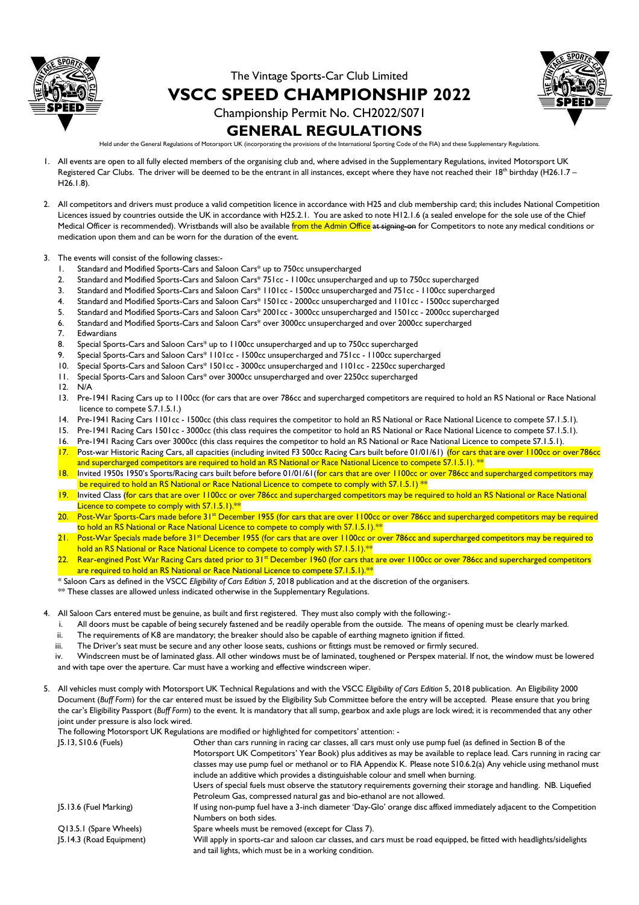

The Vintage Sports-Car Club Limited

**VSCC SPEED CHAMPIONSHIP 2022**



Championship Permit No. CH2022/S071

# **GENERAL REGULATIONS**

Held under the General Regulations of Motorsport UK (incorporating the provisions of the International Sporting Code of the FIA) and these Supplementary Regulations.

- 1. All events are open to all fully elected members of the organising club and, where advised in the Supplementary Regulations, invited Motorsport UK Registered Car Clubs. The driver will be deemed to be the entrant in all instances, except where they have not reached their 18<sup>th</sup> birthday (H26.1.7 – H26.1.8).
- 2. All competitors and drivers must produce a valid competition licence in accordance with H25 and club membership card; this includes National Competition Licences issued by countries outside the UK in accordance with H25.2.1. You are asked to note H12.1.6 (a sealed envelope for the sole use of the Chief Medical Officer is recommended). Wristbands will also be available from the Admin Office at signing-on for Competitors to note any medical conditions or medication upon them and can be worn for the duration of the event.
- 3. The events will consist of the following classes:-
	- 1. Standard and Modified Sports-Cars and Saloon Cars\* up to 750cc unsupercharged
	- 2. Standard and Modified Sports-Cars and Saloon Cars\* 751cc 1100cc unsupercharged and up to 750cc supercharged
	- 3. Standard and Modified Sports-Cars and Saloon Cars\* 1101cc 1500cc unsupercharged and 751cc 1100cc supercharged
	- 4. Standard and Modified Sports-Cars and Saloon Cars\* 1501cc 2000cc unsupercharged and 1101cc 1500cc supercharged
	- 5. Standard and Modified Sports-Cars and Saloon Cars\* 2001cc 3000cc unsupercharged and 1501cc 2000cc supercharged
	- 6. Standard and Modified Sports-Cars and Saloon Cars\* over 3000cc unsupercharged and over 2000cc supercharged 7. Edwardians
	- 8. Special Sports-Cars and Saloon Cars\* up to 1100cc unsupercharged and up to 750cc supercharged
	- 9. Special Sports-Cars and Saloon Cars\* 1101cc 1500cc unsupercharged and 751cc 1100cc supercharged
	- 10. Special Sports-Cars and Saloon Cars\* 1501cc 3000cc unsupercharged and 1101cc 2250cc supercharged
	- 11. Special Sports-Cars and Saloon Cars\* over 3000cc unsupercharged and over 2250cc supercharged
	- 12. N/A
	- 13. Pre-1941 Racing Cars up to 1100cc (for cars that are over 786cc and supercharged competitors are required to hold an RS National or Race National licence to compete S.7.1.5.1.)
	- 14. Pre-1941 Racing Cars 1101cc 1500cc (this class requires the competitor to hold an RS National or Race National Licence to compete S7.1.5.1).
	- 15. Pre-1941 Racing Cars 1501cc 3000cc (this class requires the competitor to hold an RS National or Race National Licence to compete S7.1.5.1).
	- 16. Pre-1941 Racing Cars over 3000cc (this class requires the competitor to hold an RS National or Race National Licence to compete S7.1.5.1).
	- 17. Post-war Historic Racing Cars, all capacities (including invited F3 500cc Racing Cars built before 01/01/61) (for cars that are over 1100cc or over 786cc and supercharged competitors are required to hold an RS National or Race National Licence to compete S7.1.5.1). \*\*
	- 18. Invited 1950s 1950's Sports/Racing cars built before before 01/01/61 (for cars that are over 1100cc or over 786cc and supercharged competitors may be required to hold an RS National or Race National Licence to compete to comply with S7.1.5.1) \*\*
	- Invited Class <mark>(for cars that are over 1100cc or over 786cc and supercharged competitors may be required to hold an RS National or Race National</mark> Licence to compete to comply with S7.1.5.1).\*\*
	- 20. Post-War Sports-Cars made before 31<sup>st</sup> December 1955 (for cars that are over 1100cc or over 786cc and supercharged competitors may be required to hold an RS National or Race National Licence to compete to comply with S7.1.5.1).\*\*
	- 21. Post-War Specials made before 31<sup>st</sup> December 1955 (for cars that are over 1100cc or over 786cc and supercharged competitors may be required to hold an RS National or Race National Licence to compete to comply with S7.1.5.1).<sup>\*\*</sup>
	- 22. Rear-engined Post War Racing Cars dated prior to 31<sup>st</sup> December 1960 (for cars that are over 1100cc or over 786cc and supercharged competitors are required to hold an RS National or Race National Licence to compete S7.1.5.1).<sup>\*\*</sup>
	- \* Saloon Cars as defined in the VSCC *Eligibility of Cars Edition 5,* 2018 publication and at the discretion of the organisers.

\*\* These classes are allowed unless indicated otherwise in the Supplementary Regulations.

- 4. All Saloon Cars entered must be genuine, as built and first registered. They must also comply with the following:
	- i. All doors must be capable of being securely fastened and be readily operable from the outside. The means of opening must be clearly marked.
	- ii. The requirements of K8 are mandatory; the breaker should also be capable of earthing magneto ignition if fitted.
	- iii. The Driver's seat must be secure and any other loose seats, cushions or fittings must be removed or firmly secured.

iv. Windscreen must be of laminated glass. All other windows must be of laminated, toughened or Perspex material. If not, the window must be lowered and with tape over the aperture. Car must have a working and effective windscreen wiper.

5. All vehicles must comply with Motorsport UK Technical Regulations and with the VSCC *Eligibility of Cars Edition* 5, 2018 publication. An Eligibility 2000 Document (*Buff Form*) for the car entered must be issued by the Eligibility Sub Committee before the entry will be accepted. Please ensure that you bring the car's Eligibility Passport (*Buff Form*) to the event. It is mandatory that all sump, gearbox and axle plugs are lock wired; it is recommended that any other joint under pressure is also lock wired.

The following Motorsport UK Regulations are modified or highlighted for competitors' attention: -

| [5.13, S10.6 (Fuels)     | Other than cars running in racing car classes, all cars must only use pump fuel (as defined in Section B of the       |
|--------------------------|-----------------------------------------------------------------------------------------------------------------------|
|                          | Motorsport UK Competitors' Year Book) plus additives as may be available to replace lead. Cars running in racing car  |
|                          | classes may use pump fuel or methanol or to FIA Appendix K. Please note S10.6.2(a) Any vehicle using methanol must    |
|                          | include an additive which provides a distinguishable colour and smell when burning.                                   |
|                          | Users of special fuels must observe the statutory requirements governing their storage and handling. NB. Liquefied    |
|                          | Petroleum Gas, compressed natural gas and bio-ethanol are not allowed.                                                |
| $ 5.13.6$ (Fuel Marking) | If using non-pump fuel have a 3-inch diameter 'Day-Glo' orange disc affixed immediately adjacent to the Competition   |
|                          | Numbers on both sides.                                                                                                |
| Q13.5.1 (Spare Wheels)   | Spare wheels must be removed (except for Class 7).                                                                    |
| [5.14.3 (Road Equipment) | Will apply in sports-car and saloon car classes, and cars must be road equipped, be fitted with headlights/sidelights |
|                          | and tail lights, which must be in a working condition.                                                                |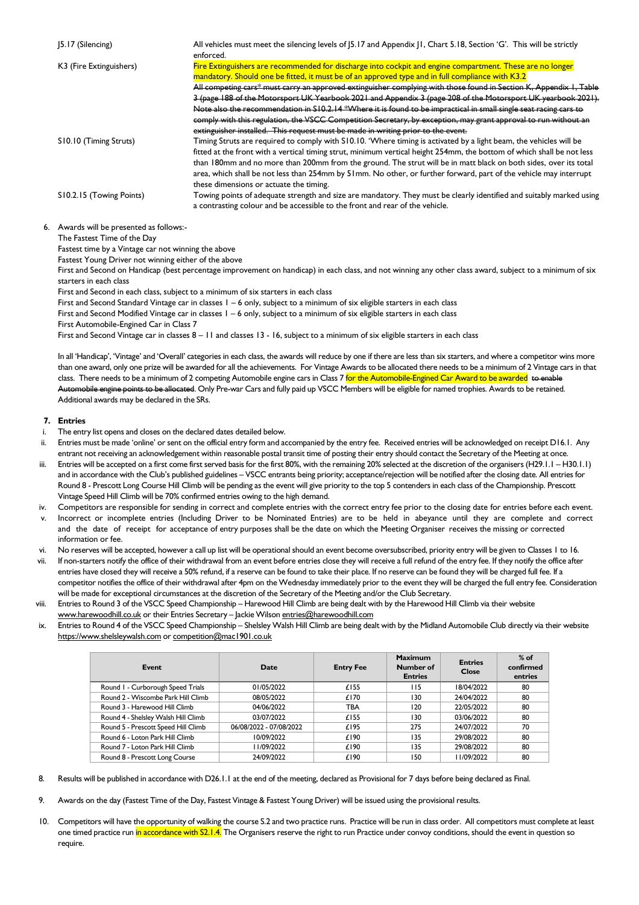| [5.17 (Silencing)        | All vehicles must meet the silencing levels of [5.17 and Appendix [1, Chart 5.18, Section 'G'. This will be strictly<br>enforced.                                                                                                                                                                                                                                                                                                                                                                                                                                                                                                                                                                                                                                               |
|--------------------------|---------------------------------------------------------------------------------------------------------------------------------------------------------------------------------------------------------------------------------------------------------------------------------------------------------------------------------------------------------------------------------------------------------------------------------------------------------------------------------------------------------------------------------------------------------------------------------------------------------------------------------------------------------------------------------------------------------------------------------------------------------------------------------|
| K3 (Fire Extinguishers)  | Fire Extinguishers are recommended for discharge into cockpit and engine compartment. These are no longer<br>mandatory. Should one be fitted, it must be of an approved type and in full compliance with K3.2<br>All competing cars* must carry an approved extinguisher complying with those found in Section K, Appendix I, Table<br>3 (page 188 of the Motorsport UK Yearbook 2021 and Appendix 3 (page 208 of the Motorsport UK yearbook 2021).<br>Note also the recommendation in S10.2.14 *Where it is found to be impractical in small single seat racing cars to<br>comply with this regulation, the VSCC Competition Secretary, by exception, may grant approval to run without an<br>extinguisher installed. This request must be made in writing prior to the event. |
| S10.10 (Timing Struts)   | Timing Struts are required to comply with S10.10. 'Where timing is activated by a light beam, the vehicles will be<br>fitted at the front with a vertical timing strut, minimum vertical height 254mm, the bottom of which shall be not less<br>than 180mm and no more than 200mm from the ground. The strut will be in matt black on both sides, over its total<br>area, which shall be not less than 254mm by 51mm. No other, or further forward, part of the vehicle may interrupt<br>these dimensions or actuate the timing.                                                                                                                                                                                                                                                |
| S10.2.15 (Towing Points) | Towing points of adequate strength and size are mandatory. They must be clearly identified and suitably marked using<br>a contrasting colour and be accessible to the front and rear of the vehicle.                                                                                                                                                                                                                                                                                                                                                                                                                                                                                                                                                                            |

6. Awards will be presented as follows:- The Fastest Time of the Day

Fastest time by a Vintage car not winning the above

Fastest Young Driver not winning either of the above

First and Second on Handicap (best percentage improvement on handicap) in each class, and not winning any other class award, subject to a minimum of six starters in each class

First and Second in each class, subject to a minimum of six starters in each class

First and Second Standard Vintage car in classes 1 – 6 only, subject to a minimum of six eligible starters in each class

First and Second Modified Vintage car in classes 1 – 6 only, subject to a minimum of six eligible starters in each class

First Automobile-Engined Car in Class 7

First and Second Vintage car in classes 8 – 11 and classes 13 - 16, subject to a minimum of six eligible starters in each class

In all 'Handicap', 'Vintage' and 'Overall' categories in each class, the awards will reduce by one if there are less than six starters, and where a competitor wins more than one award, only one prize will be awarded for all the achievements. For Vintage Awards to be allocated there needs to be a minimum of 2 Vintage cars in that class. There needs to be a minimum of 2 competing Automobile engine cars in Class 7 for the Automobile-Engined Car Award to be awarded to enable Automobile engine points to be allocated. Only Pre-war Cars and fully paid up VSCC Members will be eligible for named trophies. Awards to be retained. Additional awards may be declared in the SRs.

#### **7. Entries**

- i. The entry list opens and closes on the declared dates detailed below.
- ii. Entries must be made 'online' or sent on the official entry form and accompanied by the entry fee. Received entries will be acknowledged on receipt D16.1. Any entrant not receiving an acknowledgement within reasonable postal transit time of posting their entry should contact the Secretary of the Meeting at once.
- Entries will be accepted on a first come first served basis for the first 80%, with the remaining 20% selected at the discretion of the organisers (H29.1.1 H30.1.1) and in accordance with the Club's published guidelines – VSCC entrants being priority; acceptance/rejection will be notified after the closing date. All entries for Round 8 - Prescott Long Course Hill Climb will be pending as the event will give priority to the top 5 contenders in each class of the Championship. Prescott Vintage Speed Hill Climb will be 70% confirmed entries owing to the high demand.
- iv. Competitors are responsible for sending in correct and complete entries with the correct entry fee prior to the closing date for entries before each event.
- v. Incorrect or incomplete entries (Including Driver to be Nominated Entries) are to be held in abeyance until they are complete and correct and the date of receipt for acceptance of entry purposes shall be the date on which the Meeting Organiser receives the missing or corrected information or fee.
- vi. No reserves will be accepted, however a call up list will be operational should an event become oversubscribed, priority entry will be given to Classes 1 to 16.
- vii. If non-starters notify the office of their withdrawal from an event before entries close they will receive a full refund of the entry fee. If they notify the office after entries have closed they will receive a 50% refund, if a reserve can be found to take their place. If no reserve can be found they will be charged full fee. If a competitor notifies the office of their withdrawal after 4pm on the Wednesday immediately prior to the event they will be charged the full entry fee. Consideration will be made for exceptional circumstances at the discretion of the Secretary of the Meeting and/or the Club Secretary.
- viii. Entries to Round 3 of the VSCC Speed Championship Harewood Hill Climb are being dealt with by the Harewood Hill Climb via their website www.harewoodhill.co.uk or their Entries Secretary - Jackie Wilson entries@harewoodhill.com
- ix. Entries to Round 4 of the VSCC Speed Championship Shelsley Walsh Hill Climb are being dealt with by the Midland Automobile Club directly via their website https://www.shelsleywalsh.com or competition@mac1901.co.uk

| Event                               | Date                    | <b>Entry Fee</b> | <b>Maximum</b><br>Number of<br><b>Entries</b> | <b>Entries</b><br>Close | $%$ of<br>confirmed<br>entries |
|-------------------------------------|-------------------------|------------------|-----------------------------------------------|-------------------------|--------------------------------|
| Round I - Curborough Speed Trials   | 01/05/2022              | £155             | 115                                           | 18/04/2022              | 80                             |
| Round 2 - Wiscombe Park Hill Climb  | 08/05/2022              | £170             | 130                                           | 24/04/2022              | 80                             |
| Round 3 - Harewood Hill Climb       | 04/06/2022              | TBA              | 120                                           | 22/05/2022              | 80                             |
| Round 4 - Shelsley Walsh Hill Climb | 03/07/2022              | £155             | 130                                           | 03/06/2022              | 80                             |
| Round 5 - Prescott Speed Hill Climb | 06/08/2022 - 07/08/2022 | £195             | 275                                           | 24/07/2022              | 70                             |
| Round 6 - Loton Park Hill Climb     | 10/09/2022              | £190             | 135                                           | 29/08/2022              | 80                             |
| Round 7 - Loton Park Hill Climb     | 11/09/2022              | £190             | 135                                           | 29/08/2022              | 80                             |
| Round 8 - Prescott Long Course      | 24/09/2022              | £190             | 150                                           | 11/09/2022              | 80                             |

8. Results will be published in accordance with D26.1.1 at the end of the meeting, declared as Provisional for 7 days before being declared as Final.

9. Awards on the day (Fastest Time of the Day, Fastest Vintage & Fastest Young Driver) will be issued using the provisional results.

10. Competitors will have the opportunity of walking the course S.2 and two practice runs. Practice will be run in class order. All competitors must complete at least one timed practice run in accordance with S2.1.4. The Organisers reserve the right to run Practice under convoy conditions, should the event in question so require.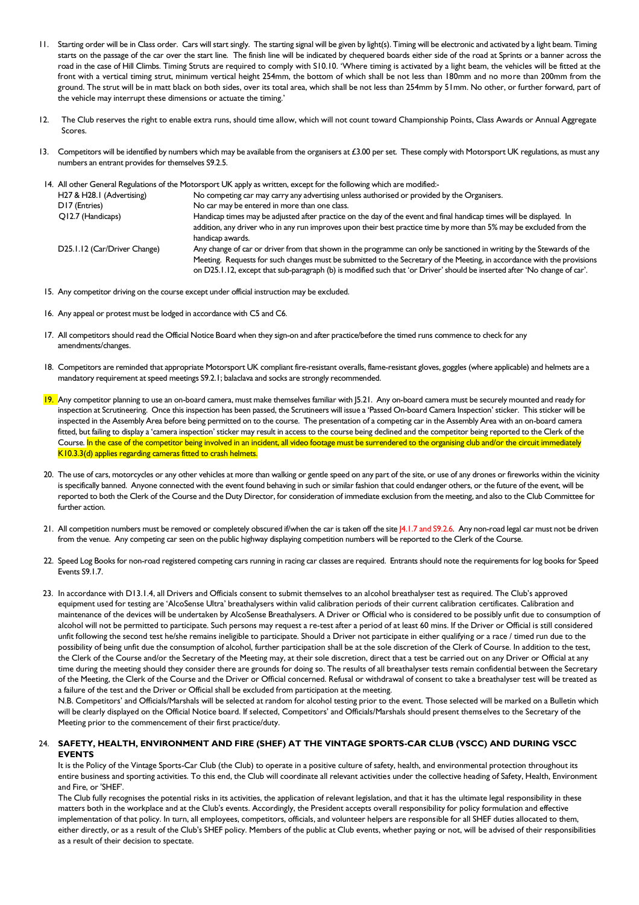- 11. Starting order will be in Class order. Cars will start singly. The starting signal will be given by light(s). Timing will be electronic and activated by a light beam. Timing starts on the passage of the car over the start line. The finish line will be indicated by chequered boards either side of the road at Sprints or a banner across the road in the case of Hill Climbs. Timing Struts are required to comply with S10.10. 'Where timing is activated by a light beam, the vehicles will be fitted at the front with a vertical timing strut, minimum vertical height 254mm, the bottom of which shall be not less than 180mm and no more than 200mm from the ground. The strut will be in matt black on both sides, over its total area, which shall be not less than 254mm by 51mm. No other, or further forward, part of the vehicle may interrupt these dimensions or actuate the timing.'
- 12. The Club reserves the right to enable extra runs, should time allow, which will not count toward Championship Points, Class Awards or Annual Aggregate Scores.
- 13. Competitors will be identified by numbers which may be available from the organisers at £3.00 per set. These comply with Motorsport UK regulations, as must any numbers an entrant provides for themselves S9.2.5.

|                              | 14. All other General Regulations of the Motorsport UK apply as written, except for the following which are modified:-    |
|------------------------------|---------------------------------------------------------------------------------------------------------------------------|
| H27 & H28.1 (Advertising)    | No competing car may carry any advertising unless authorised or provided by the Organisers.                               |
| D17 (Entries)                | No car may be entered in more than one class.                                                                             |
| Q12.7 (Handicaps)            | Handicap times may be adjusted after practice on the day of the event and final handicap times will be displayed. In      |
|                              | addition, any driver who in any run improves upon their best practice time by more than 5% may be excluded from the       |
|                              | handicap awards.                                                                                                          |
| D25.1.12 (Car/Driver Change) | Any change of car or driver from that shown in the programme can only be sanctioned in writing by the Stewards of the     |
|                              | Meeting. Requests for such changes must be submitted to the Secretary of the Meeting, in accordance with the provisions   |
|                              | on D25.1.12, except that sub-paragraph (b) is modified such that 'or Driver' should be inserted after 'No change of car'. |

- 15. Any competitor driving on the course except under official instruction may be excluded.
- 16. Any appeal or protest must be lodged in accordance with C5 and C6.
- 17. All competitors should read the Official Notice Board when they sign-on and after practice/before the timed runs commence to check for any amendments/changes.
- 18. Competitors are reminded that appropriate Motorsport UK compliant fire-resistant overalls, flame-resistant gloves, goggles (where applicable) and helmets are a mandatory requirement at speed meetings S9.2.1; balaclava and socks are strongly recommended.
- 19. Any competitor planning to use an on-board camera, must make themselves familiar with [5.21. Any on-board camera must be securely mounted and ready for inspection at Scrutineering. Once this inspection has been passed, the Scrutineers will issue a 'Passed On-board Camera Inspection' sticker. This sticker will be inspected in the Assembly Area before being permitted on to the course. The presentation of a competing car in the Assembly Area with an on-board camera fitted, but failing to display a 'camera inspection' sticker may result in access to the course being declined and the competitor being reported to the Clerk of the Course. In the case of the competitor being involved in an incident, all video footage must be surrendered to the organising club and/or the circuit immediately K10.3.3(d) applies regarding cameras fitted to crash helmets.
- 20. The use of cars, motorcycles or any other vehicles at more than walking or gentle speed on any part of the site, or use of any drones or fireworks within the vicinity is specifically banned. Anyone connected with the event found behaving in such or similar fashion that could endanger others, or the future of the event, will be reported to both the Clerk of the Course and the Duty Director, for consideration of immediate exclusion from the meeting, and also to the Club Committee for further action.
- 21. All competition numbers must be removed or completely obscured if/when the car is taken off the site J4.1.7 and S9.2.6. Any non-road legal car must not be driven from the venue. Any competing car seen on the public highway displaying competition numbers will be reported to the Clerk of the Course.
- 22. Speed Log Books for non-road registered competing cars running in racing car classes are required. Entrants should note the requirements for log books for Speed Events S9.1.7.
- 23. In accordance with D13.1.4, all Drivers and Officials consent to submit themselves to an alcohol breathalyser test as required. The Club's approved equipment used for testing are 'AlcoSense Ultra' breathalysers within valid calibration periods of their current calibration certificates. Calibration and maintenance of the devices will be undertaken by AlcoSense Breathalysers. A Driver or Official who is considered to be possibly unfit due to consumption of alcohol will not be permitted to participate. Such persons may request a re-test after a period of at least 60 mins. If the Driver or Official is still considered unfit following the second test he/she remains ineligible to participate. Should a Driver not participate in either qualifying or a race / timed run due to the possibility of being unfit due the consumption of alcohol, further participation shall be at the sole discretion of the Clerk of Course. In addition to the test, the Clerk of the Course and/or the Secretary of the Meeting may, at their sole discretion, direct that a test be carried out on any Driver or Official at any time during the meeting should they consider there are grounds for doing so. The results of all breathalyser tests remain confidential between the Secretary of the Meeting, the Clerk of the Course and the Driver or Official concerned. Refusal or withdrawal of consent to take a breathalyser test will be treated as a failure of the test and the Driver or Official shall be excluded from participation at the meeting.

N.B. Competitors' and Officials/Marshals will be selected at random for alcohol testing prior to the event. Those selected will be marked on a Bulletin which will be clearly displayed on the Official Notice board. If selected, Competitors' and Officials/Marshals should present themselves to the Secretary of the Meeting prior to the commencement of their first practice/duty.

## 24. **SAFETY, HEALTH, ENVIRONMENT AND FIRE (SHEF) AT THE VINTAGE SPORTS-CAR CLUB (VSCC) AND DURING VSCC EVENTS**

It is the Policy of the Vintage Sports-Car Club (the Club) to operate in a positive culture of safety, health, and environmental protection throughout its entire business and sporting activities. To this end, the Club will coordinate all relevant activities under the collective heading of Safety, Health, Environment and Fire, or 'SHEF'.

The Club fully recognises the potential risks in its activities, the application of relevant legislation, and that it has the ultimate legal responsibility in these matters both in the workplace and at the Club's events. Accordingly, the President accepts overall responsibility for policy formulation and effective implementation of that policy. In turn, all employees, competitors, officials, and volunteer helpers are responsible for all SHEF duties allocated to them, either directly, or as a result of the Club's SHEF policy. Members of the public at Club events, whether paying or not, will be advised of their responsibilities as a result of their decision to spectate.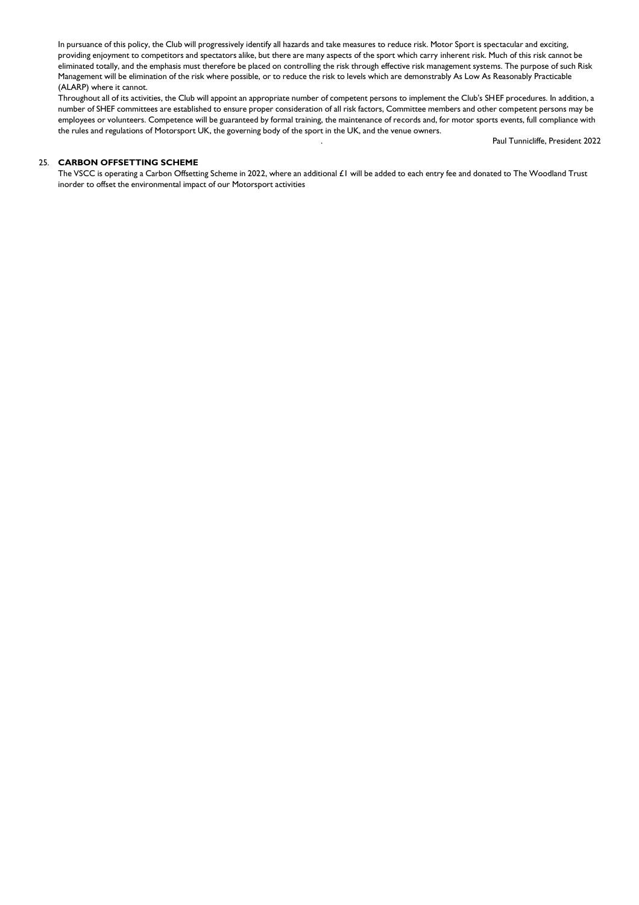In pursuance of this policy, the Club will progressively identify all hazards and take measures to reduce risk. Motor Sport is spectacular and exciting, providing enjoyment to competitors and spectators alike, but there are many aspects of the sport which carry inherent risk. Much of this risk cannot be eliminated totally, and the emphasis must therefore be placed on controlling the risk through effective risk management systems. The purpose of such Risk Management will be elimination of the risk where possible, or to reduce the risk to levels which are demonstrably As Low As Reasonably Practicable (ALARP) where it cannot.

Throughout all of its activities, the Club will appoint an appropriate number of competent persons to implement the Club's SHEF procedures. In addition, a number of SHEF committees are established to ensure proper consideration of all risk factors, Committee members and other competent persons may be employees or volunteers. Competence will be guaranteed by formal training, the maintenance of records and, for motor sports events, full compliance with the rules and regulations of Motorsport UK, the governing body of the sport in the UK, and the venue owners.

. Paul Tunnicliffe, President 2022

#### 25. **CARBON OFFSETTING SCHEME**

The VSCC is operating a Carbon Offsetting Scheme in 2022, where an additional £1 will be added to each entry fee and donated to The Woodland Trust inorder to offset the environmental impact of our Motorsport activities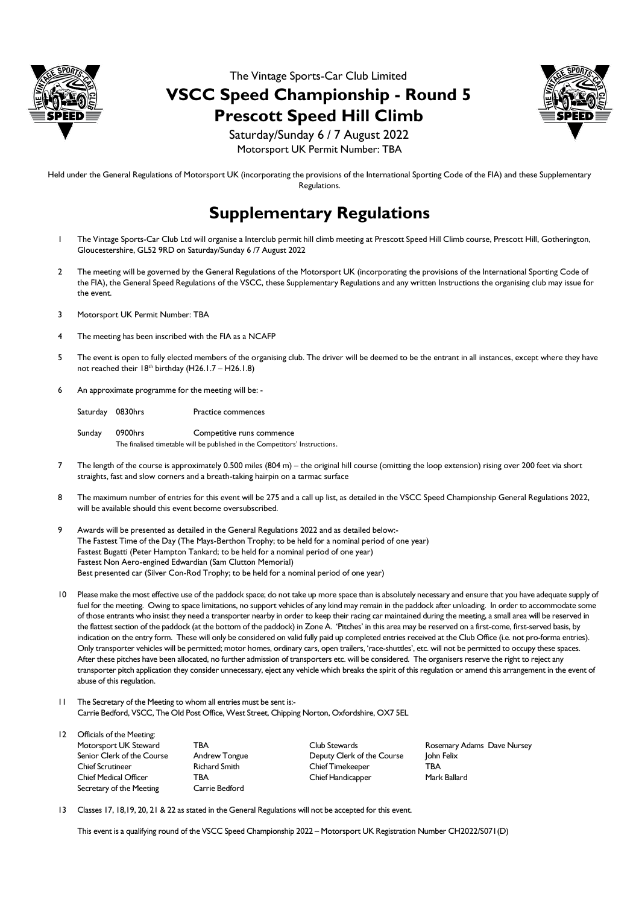

The Vintage Sports-Car Club Limited **VSCC Speed Championship - Round 5 Prescott Speed Hill Climb**



Saturday/Sunday 6 / 7 August 2022 Motorsport UK Permit Number: TBA

Held under the General Regulations of Motorsport UK (incorporating the provisions of the International Sporting Code of the FIA) and these Supplementary Regulations.

# **Supplementary Regulations**

- 1 The Vintage Sports-Car Club Ltd will organise a Interclub permit hill climb meeting at Prescott Speed Hill Climb course, Prescott Hill, Gotherington, Gloucestershire, GL52 9RD on Saturday/Sunday 6 /7 August 2022
- 2 The meeting will be governed by the General Regulations of the Motorsport UK (incorporating the provisions of the International Sporting Code of the FIA), the General Speed Regulations of the VSCC, these Supplementary Regulations and any written Instructions the organising club may issue for the event.
- 3 Motorsport UK Permit Number: TBA
- The meeting has been inscribed with the FIA as a NCAFP
- 5 The event is open to fully elected members of the organising club. The driver will be deemed to be the entrant in all instances, except where they have not reached their  $18^{th}$  birthday (H26.1.7 – H26.1.8)
- 6 An approximate programme for the meeting will be: -

Saturday 0830hrs Practice commences

Sunday 0900hrs Competitive runs commence The finalised timetable will be published in the Competitors' Instructions.

- 7 The length of the course is approximately 0.500 miles (804 m) the original hill course (omitting the loop extension) rising over 200 feet via short straights, fast and slow corners and a breath-taking hairpin on a tarmac surface
- 8 The maximum number of entries for this event will be 275 and a call up list, as detailed in the VSCC Speed Championship General Regulations 2022, will be available should this event become oversubscribed.
- 9 Awards will be presented as detailed in the General Regulations 2022 and as detailed below:- The Fastest Time of the Day (The Mays-Berthon Trophy; to be held for a nominal period of one year) Fastest Bugatti (Peter Hampton Tankard; to be held for a nominal period of one year) Fastest Non Aero-engined Edwardian (Sam Clutton Memorial) Best presented car (Silver Con-Rod Trophy; to be held for a nominal period of one year)
- 10 Please make the most effective use of the paddock space; do not take up more space than is absolutely necessary and ensure that you have adequate supply of fuel for the meeting. Owing to space limitations, no support vehicles of any kind may remain in the paddock after unloading. In order to accommodate some of those entrants who insist they need a transporter nearby in order to keep their racing car maintained during the meeting, a small area will be reserved in the flattest section of the paddock (at the bottom of the paddock) in Zone A. 'Pitches' in this area may be reserved on a first-come, first-served basis, by indication on the entry form. These will only be considered on valid fully paid up completed entries received at the Club Office (i.e. not pro-forma entries). Only transporter vehicles will be permitted; motor homes, ordinary cars, open trailers, 'race-shuttles', etc. will not be permitted to occupy these spaces. After these pitches have been allocated, no further admission of transporters etc. will be considered. The organisers reserve the right to reject any transporter pitch application they consider unnecessary, eject any vehicle which breaks the spirit of this regulation or amend this arrangement in the event of abuse of this regulation.
- 11 The Secretary of the Meeting to whom all entries must be sent is:- Carrie Bedford, VSCC, The Old Post Office, West Street, Chipping Norton, Oxfordshire, OX7 5EL
- 12 Officials of the Meeting: Motorsport UK Steward TBA Club Stewards Rosemary Adams Dave Nursey Senior Clerk of the Course Andrew Tongue Deputy Clerk of the Course John Felix Chief Scrutineer Richard Smith Chief Timekeeper TBA Chief Medical Officer TBA Chief Handicapper Mark Ballard Secretary of the Meeting Carrie Bedford
- 13 Classes 17, 18,19, 20, 21 & 22 as stated in the General Regulations will not be accepted for this event.

This event is a qualifying round of the VSCC Speed Championship 2022 – Motorsport UK Registration Number CH2022/S071(D)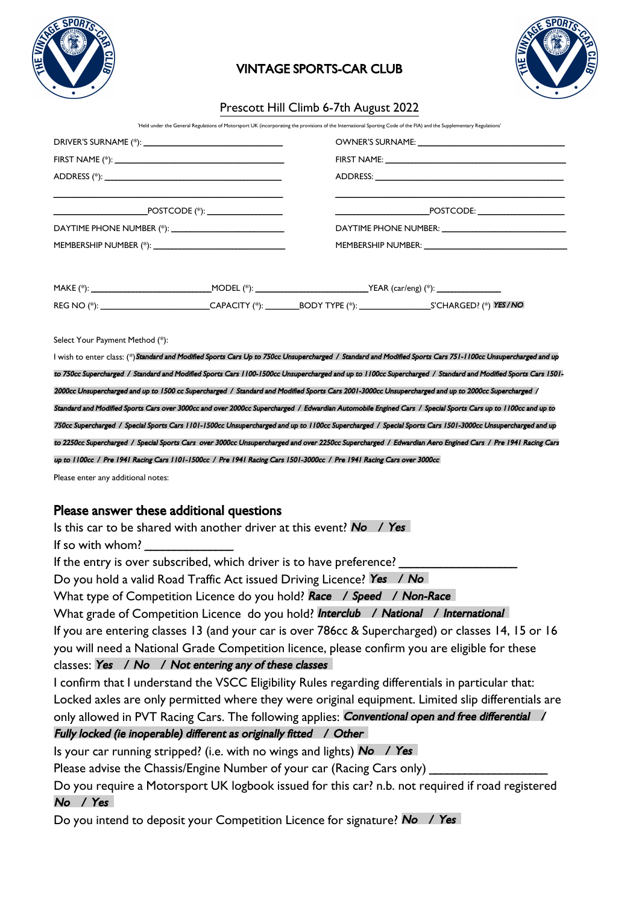

# VINTAGE SPORTS-CAR CLUB



# Prescott Hill Climb 6-7th August 2022

'Held under the General Regulations of Motorsport UK (incorporating the provisions of the International Sporting Code of the FIA) and the Supplementary Regulati

|  |  | ${\color{red}{{\bf \texttt{POSTCODE}}:\textbf{\texttt{}}}}$                                                                      |  |  |
|--|--|----------------------------------------------------------------------------------------------------------------------------------|--|--|
|  |  |                                                                                                                                  |  |  |
|  |  |                                                                                                                                  |  |  |
|  |  |                                                                                                                                  |  |  |
|  |  |                                                                                                                                  |  |  |
|  |  | REG NO (*): _____________________________CAPACITY (*): __________BODY TYPE (*): ___________________________S'CHARGED? (*) YES/NO |  |  |

Select Your Payment Method (\*):

I wish to enter class: (\*)Standard and Modified Sports Cars Up to 750cc Unsupercharged / Standard and Modified Sports Cars 751-1100cc Unsupercharged and up to 750cc Supercharged / Standard and Modified Sports Cars 1100-1500cc Unsupercharged and up to 1100cc Supercharged / Standard and Modified Sports Cars 1501- 2000cc Unsupercharged and up to 1500 cc Supercharged / Standard and Modified Sports Cars 2001-3000cc Unsupercharged and up to 2000cc Supercharged / Standard and Modified Sports Cars over 3000cc and over 2000cc Supercharged / Edwardian Automobile Engined Cars / Special Sports Cars up to 1100cc and up to 750cc Supercharged / Special Sports Cars 1101-1500cc Unsupercharged and up to 1100cc Supercharged / Special Sports Cars 1501-3000cc Unsupercharged and up to 2250cc Supercharged / Special Sports Cars over 3000cc Unsupercharged and over 2250cc Supercharged / Edwardian Aero Engined Cars / Pre 1941 Racing Cars up to 1100cc / Pre 1941 Racing Cars 1101-1500cc / Pre 1941 Racing Cars 1501-3000cc / Pre 1941 Racing Cars over 3000cc

Please enter any additional notes:

## Please answer these additional questions

Is this car to be shared with another driver at this event? No  $\sqrt{Y}$ es

If so with whom?

If the entry is over subscribed, which driver is to have preference?

Do you hold a valid Road Traffic Act issued Driving Licence? Yes / No

What type of Competition Licence do you hold? Race / Speed / Non-Race

What grade of Competition Licence do you hold? Interclub / National / International

If you are entering classes 13 (and your car is over 786cc & Supercharged) or classes 14, 15 or 16 you will need a National Grade Competition licence, please confirm you are eligible for these classes: Yes / No / Not entering any of these classes

I confirm that I understand the VSCC Eligibility Rules regarding differentials in particular that: Locked axles are only permitted where they were original equipment. Limited slip differentials are only allowed in PVT Racing Cars. The following applies: *Conventional open and free differential /* Fully locked (ie inoperable) different as originally fitted / Other

Is your car running stripped? (i.e. with no wings and lights)  $\mathsf{No}$  / Yes

Please advise the Chassis/Engine Number of your car (Racing Cars only) \_

Do you require a Motorsport UK logbook issued for this car? n.b. not required if road registered No / Yes

Do you intend to deposit your Competition Licence for signature? No / Yes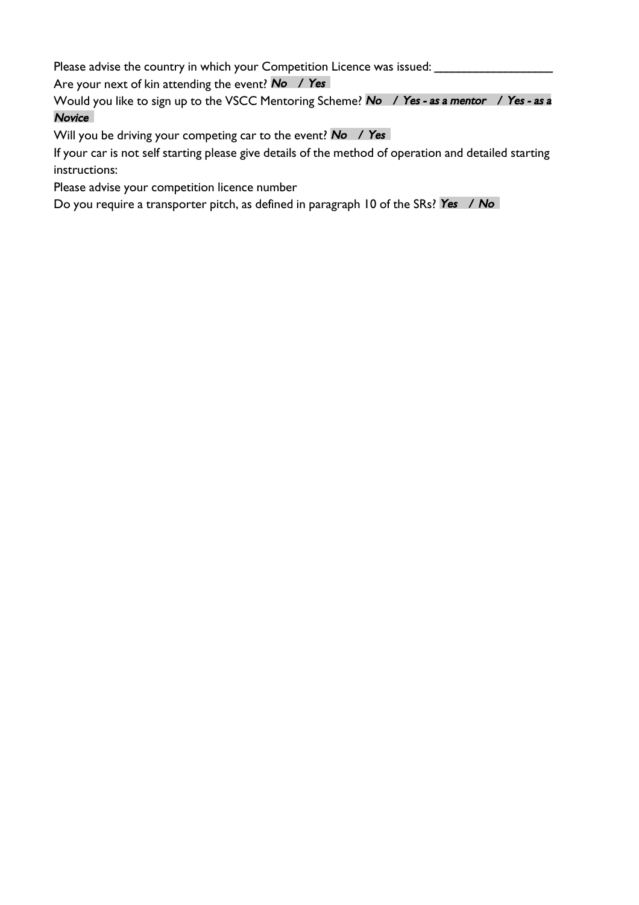Please advise the country in which your Competition Licence was issued: \_\_\_\_\_\_\_\_\_\_\_\_\_\_

Are your next of kin attending the event? No / Yes

Would you like to sign up to the VSCC Mentoring Scheme? No / Yes - as a mentor / Yes - as a Novice

Will you be driving your competing car to the event?  $\mathsf{No}$  / Yes

If your car is not self starting please give details of the method of operation and detailed starting instructions:

Please advise your competition licence number

Do you require a transporter pitch, as defined in paragraph 10 of the SRs? Yes / No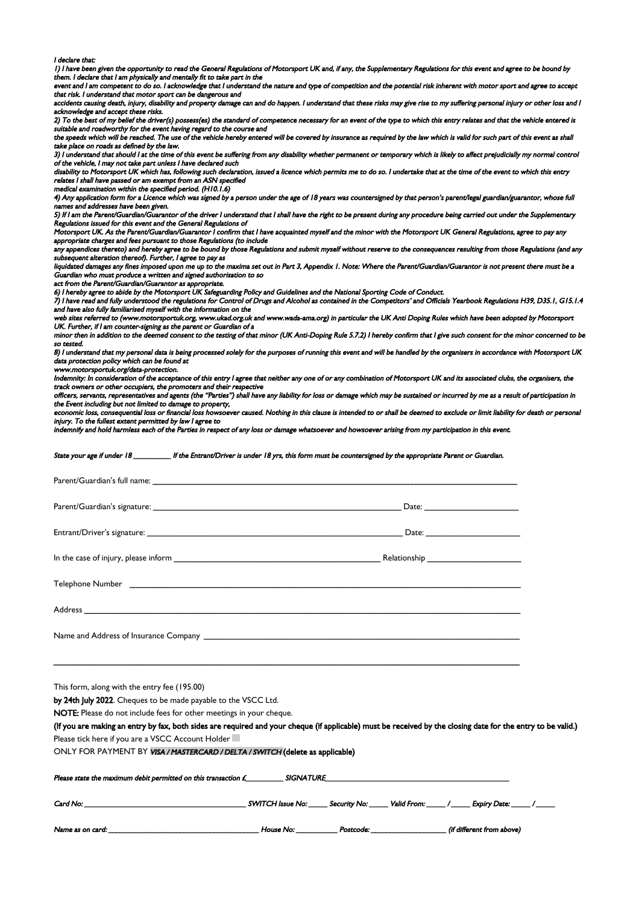#### I declare that:

1) I have been given the opportunity to read the General Regulations of Motorsport UK and, if any, the Supplementary Regulations for this event and agree to be bound by them. I declare that I am physically and mentally fit to take part in the

event and I am competent to do so. I acknowledge that I understand the nature and type of competition and the potential risk inherent with motor sport and agree to accept

that risk. I understand that motor sport can be dangerous and<br>accidents causing death, injury, disability and property damage can and do happen. I understand that these risks may give rise to my suffering personal injury o acknowledge and accept these risks.

2) To the best of my belief the driver(s) possess(es) the standard of competence necessary for an event of the type to which this entry relates and that the vehicle entered is suitable and roadworthy for the event having regard to the course and

the speeds which will be reached. The use of the vehicle hereby entered will be covered by insurance as required by the law which is valid for such part of this event as shall take place on roads as defined by the law.

and place on rease to centrol by the term.<br>3) I understand that should I at the time of this event be suffering from any disability whether permanent or temporary which is likely to affect prejudicially my normal control of the vehicle, I may not take part unless I have declared such

disability to Motorsport UK which has, following such declaration, issued a licence which permits me to do so. I undertake that at the time of the event to which this entry relates I shall have passed or am exempt from an ASN specified

medical examination within the specified period. (H10.1.6)

4) Any application form for a Licence which was signed by a person under the age of 18 years was countersigned by that person's parent/legal guardian/guarantor, whose full s and addresses have been given.

5) If I am the Parent/Guardian/Guarantor of the driver I understand that I shall have the right to be present during any procedure being carried out under the Supplementary Regulations issued for this event and the General Regulations of

Motorsport UK. As the Parent/Guardian/Guarantor I confirm that I have acquainted myself and the minor with the Motorsport UK General Regulations, agree to pay any appropriate charges and fees pursuant to those Regulations (to include

any appendices thereto) and hereby agree to be bound by those Regulations and submit myself without reserve to the consequences resulting from those Regulations (and any subsequent alteration thereof). Further, I agree to pay as

liquidated damages any fines imposed upon me up to the maxima set out in Part 3, Appendix 1. Note: Where the Parent/Guardian/Guarantor is not present there must be a Guardian who must produce a written and signed authorisation to so

act from the Parent/Guardian/Guarantor as appropriate.

6) I hereby agree to abide by the Motorsport UK Safeguarding Policy and Guidelines and the National Sporting Code of Conduct.

7) I have read and fully understood the regulations for Control of Drugs and Alcohol as contained in the Competitors' and Officials Yearbook Regulations H39, D35.1, G15.1.4 and have also fully familiarised myself with the information on the

web sites referred to (www.motorsportuk.org, www.ukad.org.uk and www.wada-ama.org) in particular the UK Anti Doping Rules which have been adopted by Motorsport UK. Further, if I am counter-signing as the parent or Guardian of a

minor then in addition to the deemed consent to the testing of that minor (UK Anti-Doping Rule 5.7.2) I hereby confirm that I give such consent for the minor concerned to be so tested.

8) I understand that my personal data is being processed solely for the purposes of running this event and will be handled by the organisers in accordance with Motorsport UK data protection policy which can be found at

www.motorsportuk.org/data-protection.<br>Indemnity: In consideration of the acceptance of this entry I agree that neither any one of or any combination of Motorsport UK and its associated clubs, the organisers, the track owners or other occupiers, the promoters and their respective

officers, servants, representatives and agents (the "Parties") shall have any liability for loss or damage which may be sustained or incurred by me as a result of participation in the Event including but not limited to damage to property,

ver caused. Nothing in this clause is intended to or shall be deemed to exclude or limit liability for death or personal Extending the fullest extent permitted by law I agree to<br>injury. To the fullest extent permitted by law I agree to

indemnify and hold harmless each of the Parties in respect of any loss or damage whatsoever and howsoever arising from my participation in this event.

State your age if under 18 **The Entrant/Driver is under 18 yrs, this form** must be countersigned by the appropriate Parent or Guardian.

| This form, along with the entry fee (195.00)                                  |                                                                                                                                                              |  |
|-------------------------------------------------------------------------------|--------------------------------------------------------------------------------------------------------------------------------------------------------------|--|
| by 24th July 2022. Cheques to be made payable to the VSCC Ltd.                |                                                                                                                                                              |  |
| NOTE: Please do not include fees for other meetings in your cheque.           |                                                                                                                                                              |  |
|                                                                               | (If you are making an entry by fax, both sides are required and your cheque (if applicable) must be received by the closing date for the entry to be valid.) |  |
| Please tick here if you are a VSCC Account Holder                             |                                                                                                                                                              |  |
| ONLY FOR PAYMENT BY VISA / MASTERCARD / DELTA / SWITCH (delete as applicable) |                                                                                                                                                              |  |
|                                                                               |                                                                                                                                                              |  |

Card No: \_\_\_\_\_\_\_\_\_\_\_\_\_\_\_\_\_\_\_\_\_\_\_\_\_\_\_\_\_\_\_\_\_\_\_\_\_\_\_\_\_\_\_ SWITCH Issue No: \_\_\_\_\_ Security No: \_\_\_\_\_ Valid From: \_\_\_\_\_ / \_\_\_\_\_ Expiry Date: \_\_\_\_\_ / \_\_\_\_\_

Name as on card:  $\blacksquare$   $\blacksquare$   $\blacksquare$  House No:  $\blacksquare$   $\blacksquare$   $\blacksquare$   $\blacksquare$   $\blacksquare$   $\blacksquare$   $\blacksquare$   $\blacksquare$   $\blacksquare$   $\blacksquare$   $\blacksquare$   $\blacksquare$   $\blacksquare$   $\blacksquare$   $\blacksquare$   $\blacksquare$   $\blacksquare$   $\blacksquare$   $\blacksquare$   $\blacksquare$   $\blacksquare$   $\blacksquare$   $\blacksquare$   $\blacksquare$   $\blacksquare$